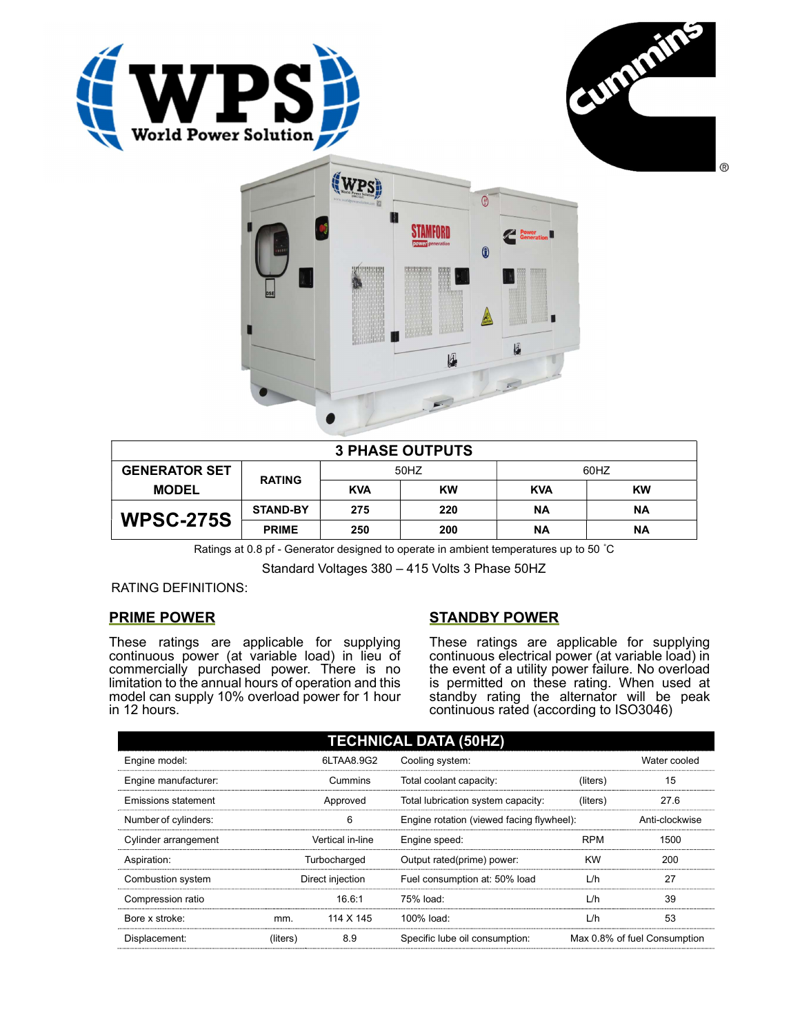





| <b>3 PHASE OUTPUTS</b> |                 |            |           |            |           |  |
|------------------------|-----------------|------------|-----------|------------|-----------|--|
| <b>GENERATOR SET</b>   | <b>RATING</b>   | 50HZ       |           | 60HZ       |           |  |
| <b>MODEL</b>           |                 | <b>KVA</b> | <b>KW</b> | <b>KVA</b> | <b>KW</b> |  |
| <b>WPSC-275S</b>       | <b>STAND-BY</b> | 275        | 220       | ΝA         | ΝA        |  |
|                        | <b>PRIME</b>    | 250        | 200       | ΝA         | <b>NA</b> |  |

Ratings at 0.8 pf - Generator designed to operate in ambient temperatures up to 50 °C

Standard Voltages 380 – 415 Volts 3 Phase 50HZ

RATING DEFINITIONS:

## PRIME POWER

These ratings are applicable for supplying continuous power (at variable load) in lieu of commercially purchased power. There is no limitation to the annual hours of operation and this model can supply 10% overload power for 1 hour in 12 hours.

## STANDBY POWER

These ratings are applicable for supplying continuous electrical power (at variable load) in the event of a utility power failure. No overload is permitted on these rating. When used at standby rating the alternator will be peak continuous rated (according to ISO3046)

| <b>TECHNICAL DATA (50HZ)</b> |                  |            |                                           |            |                              |  |
|------------------------------|------------------|------------|-------------------------------------------|------------|------------------------------|--|
| Engine model:                |                  | 6LTAA8.9G2 | Cooling system:                           |            | Water cooled                 |  |
| Engine manufacturer:         | Cummins          |            | Total coolant capacity:                   | (liters)   | 15                           |  |
| Emissions statement          | Approved         |            | Total lubrication system capacity:        | (liters)   | 27.6                         |  |
| Number of cylinders:         | 6                |            | Engine rotation (viewed facing flywheel): |            | Anti-clockwise               |  |
| Cylinder arrangement         | Vertical in-line |            | Engine speed:                             | <b>RPM</b> | 1500                         |  |
| Aspiration:                  | Turbocharged     |            | Output rated(prime) power:                | <b>KW</b>  | 200                          |  |
| Combustion system            | Direct injection |            | Fuel consumption at: 50% load             | L/h        | 27                           |  |
| Compression ratio            |                  | 16.6:1     | 75% load:                                 | L/h        | 39                           |  |
| Bore x stroke:               | mm.              | 114 X 145  | 100% load:                                | L/h        | 53                           |  |
| Displacement:                | (liters)         | 8.9        | Specific lube oil consumption:            |            | Max 0.8% of fuel Consumption |  |